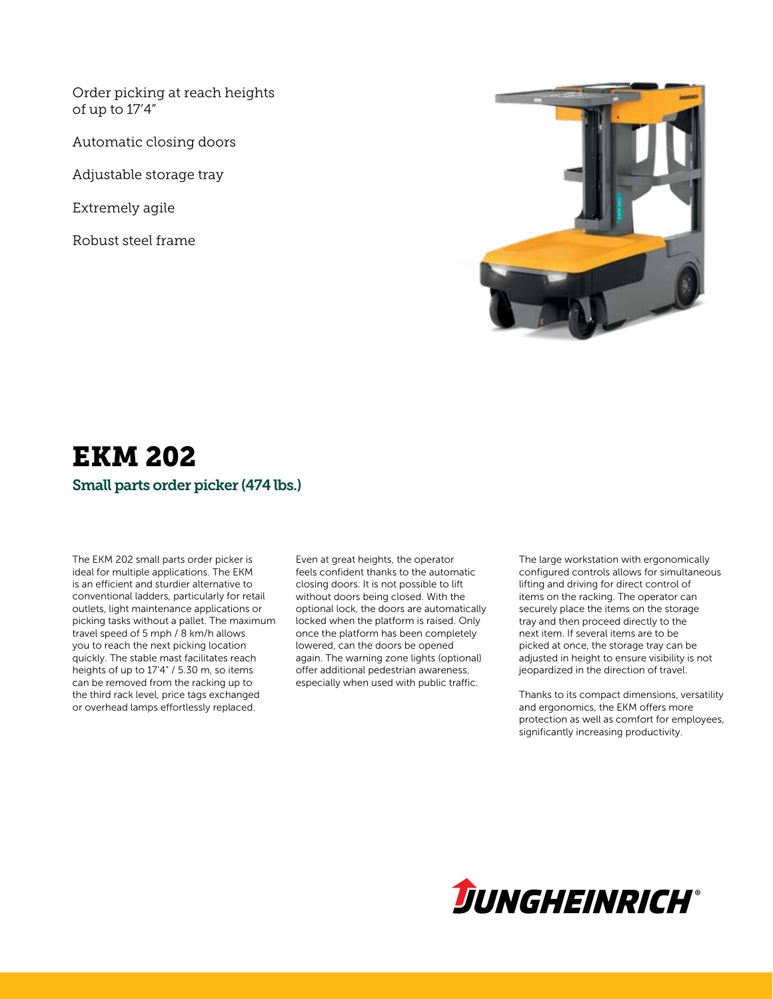Order picking at reach heights of up to 17'4"

Automatic closing doors

Adjustable storage tray

Extremely agile

Robust steel frame



### EKM 202 Small parts order picker (474 lbs.)

The EKM 202 small parts order picker is ideal for multiple applications. The EKM is an efficient and sturdier alternative to conventional ladders, particularly for retail outlets, light maintenance applications or picking tasks without a pallet. The maximum travel speed of 5 mph / 8 km/h allows you to reach the next picking location quickly. The stable mast facilitates reach heights of up to 17'4" / 5.30 m, so items can be removed from the racking up to the third rack level, price tags exchanged or overhead lamps effortlessly replaced.

Even at great heights, the operator feels confident thanks to the automatic closing doors. It is not possible to lift without doors being closed. With the optional lock, the doors are automatically locked when the platform is raised. Only once the platform has been completely lowered, can the doors be opened again. The warning zone lights (optional) offer additional pedestrian awareness, especially when used with public traffic.

The large workstation with ergonomically configured controls allows for simultaneous lifting and driving for direct control of items on the racking. The operator can securely place the items on the storage tray and then proceed directly to the next item. If several items are to be picked at once, the storage tray can be adjusted in height to ensure visibility is not jeopardized in the direction of travel.

Thanks to its compact dimensions, versatility and ergonomics, the EKM offers more protection as well as comfort for employees, significantly increasing productivity.

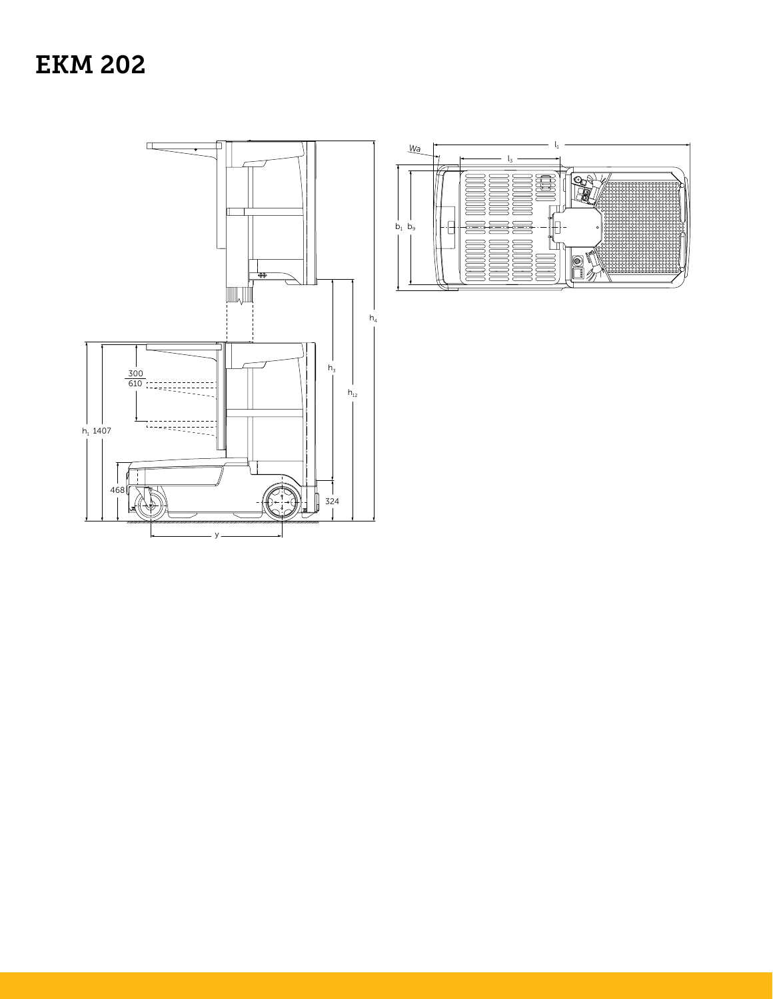# **EKM 202**



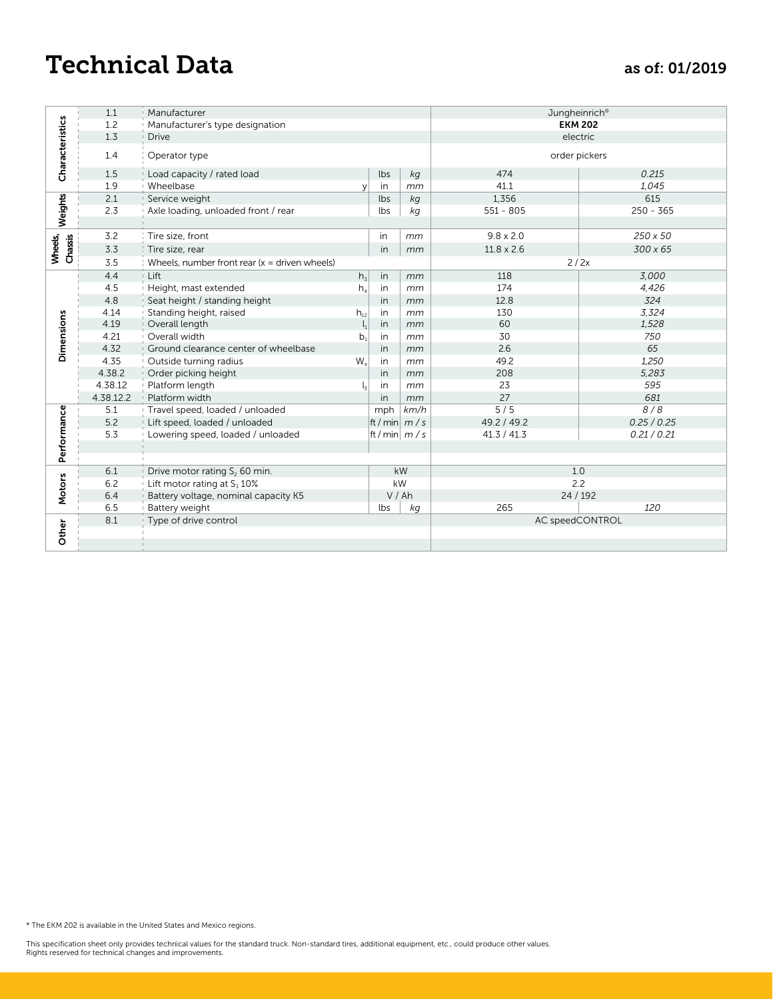## Technical Data as of: 01/2019

|                              | $1.1\,$   | Manufacturer                                    |                |               |               | Jungheinrich®     |             |
|------------------------------|-----------|-------------------------------------------------|----------------|---------------|---------------|-------------------|-------------|
| Characteristics              | $1.2\,$   | Manufacturer's type designation                 |                |               |               | <b>EKM 202</b>    |             |
|                              | $1.3\,$   | <b>Drive</b>                                    |                |               |               | electric          |             |
|                              | $1.4\,$   | Operator type                                   |                |               | order pickers |                   |             |
|                              | $1.5\,$   | Load capacity / rated load                      |                | lbs           | kg            | 474               | 0.215       |
|                              | 1.9       | Wheelbase                                       | y              | in            | mm            | 41.1              | 1,045       |
|                              | 2.1       | Service weight                                  |                | lbs           | kg            | 1,356             | 615         |
| Weights                      | 2.3       | Axle loading, unloaded front / rear             |                | lbs           | kg            | $551 - 805$       | $250 - 365$ |
| Wheels,<br>Chassis           | $3.2$     | Tire size, front                                |                | in            | mm            | $9.8 \times 2.0$  | 250 x 50    |
|                              | $3.3$     | Tire size, rear                                 |                | in            | mm            | $11.8 \times 2.6$ | 300 x 65    |
|                              | 3.5       | Wheels, number front rear $(x =$ driven wheels) |                |               |               | 2/2x              |             |
|                              | 4.4       | Lift                                            | $h_3$          | $\mathsf{in}$ | mm            | 118               | 3,000       |
|                              | 4.5       | Height, mast extended                           | $h_4$          | in            | mm            | 174               | 4,426       |
|                              | 4.8       | Seat height / standing height                   |                | in            | mm            | 12.8              | 324         |
|                              | 4.14      | Standing height, raised                         | $h_{12}$       | in            | mm            | 130               | 3,324       |
| Dimensions                   | 4.19      | Overall length                                  | $\mathsf{l}_1$ | in            | mm            | 60                | 1,528       |
|                              | 4.21      | Overall width                                   | b <sub>1</sub> | in            | mm            | 30                | 750         |
|                              | 4.32      | Ground clearance center of wheelbase            |                | in            | mm            | $2.6\,$           | 65          |
|                              | 4.35      | Outside turning radius                          | W <sub>a</sub> | in            | mm            | 49.2              | 1,250       |
|                              | 4.38.2    | Order picking height                            |                | $\mathsf{in}$ | mm            | 208               | 5,283       |
|                              | 4.38.12   | Platform length                                 | $\mathsf{l}_3$ | in            | mm            | 23                | 595         |
|                              | 4.38.12.2 | Platform width                                  |                | in            | mm            | 27                | 681         |
|                              | $5.1\,$   | Travel speed, loaded / unloaded                 |                | mph           | km/h          | $\overline{5/5}$  | 8/8         |
|                              | $5.2\,$   | Lift speed, loaded / unloaded                   |                | ft/min $ m/s$ |               | 49.2 / 49.2       | 0.25 / 0.25 |
| Performance<br><b>Motors</b> | 5.3       | Lowering speed, loaded / unloaded               |                | ft/min $ m/s$ |               | 41.3 / 41.3       | 0.21 / 0.21 |
|                              |           |                                                 |                |               |               |                   |             |
|                              |           |                                                 |                |               |               |                   |             |
|                              | $6.1\,$   | Drive motor rating S <sub>2</sub> 60 min.       |                |               | kW            | 1.0               |             |
|                              | $6.2$     | Lift motor rating at $S_3$ 10%                  |                | kW            |               | 2.2               |             |
|                              | $6.4$     | Battery voltage, nominal capacity K5            |                | V/Ah          |               | 24 / 192          |             |
|                              | 6.5       | Battery weight                                  |                | lbs           | kg            | 265               | 120         |
|                              | $8.1\,$   | Type of drive control                           |                |               |               | AC speedCONTROL   |             |
| Other                        |           |                                                 |                |               |               |                   |             |
|                              |           |                                                 |                |               |               |                   |             |
|                              |           |                                                 |                |               |               |                   |             |